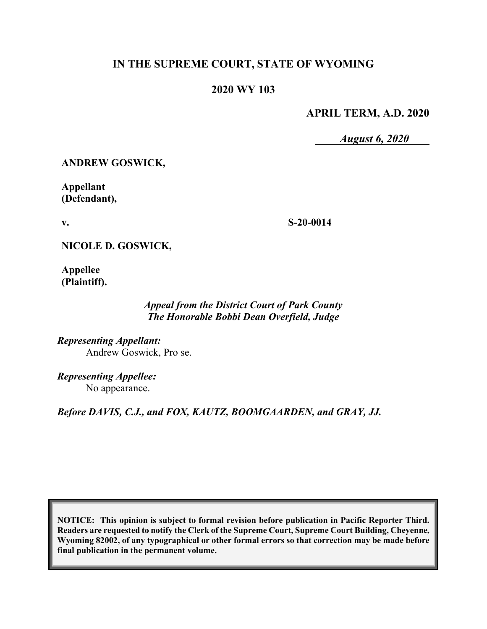# **IN THE SUPREME COURT, STATE OF WYOMING**

## **2020 WY 103**

## **APRIL TERM, A.D. 2020**

*August 6, 2020*

**ANDREW GOSWICK,**

**Appellant (Defendant),**

**v.**

**S-20-0014**

**NICOLE D. GOSWICK,**

**Appellee (Plaintiff).**

## *Appeal from the District Court of Park County The Honorable Bobbi Dean Overfield, Judge*

*Representing Appellant:* Andrew Goswick, Pro se.

*Representing Appellee:* No appearance.

*Before DAVIS, C.J., and FOX, KAUTZ, BOOMGAARDEN, and GRAY, JJ.*

**NOTICE: This opinion is subject to formal revision before publication in Pacific Reporter Third. Readers are requested to notify the Clerk of the Supreme Court, Supreme Court Building, Cheyenne, Wyoming 82002, of any typographical or other formal errors so that correction may be made before final publication in the permanent volume.**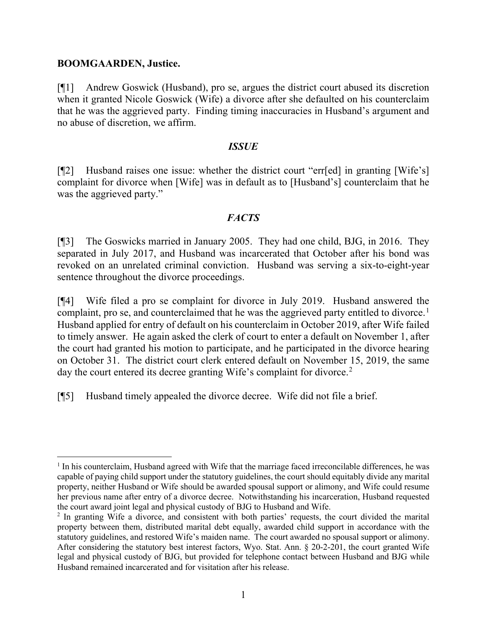#### **BOOMGAARDEN, Justice.**

[¶1] Andrew Goswick (Husband), pro se, argues the district court abused its discretion when it granted Nicole Goswick (Wife) a divorce after she defaulted on his counterclaim that he was the aggrieved party. Finding timing inaccuracies in Husband's argument and no abuse of discretion, we affirm.

#### *ISSUE*

[¶2] Husband raises one issue: whether the district court "err[ed] in granting [Wife's] complaint for divorce when [Wife] was in default as to [Husband's] counterclaim that he was the aggrieved party."

## *FACTS*

[¶3] The Goswicks married in January 2005. They had one child, BJG, in 2016. They separated in July 2017, and Husband was incarcerated that October after his bond was revoked on an unrelated criminal conviction. Husband was serving a six-to-eight-year sentence throughout the divorce proceedings.

[¶4] Wife filed a pro se complaint for divorce in July 2019. Husband answered the complaint, pro se, and counterclaimed that he was the aggrieved party entitled to divorce. [1](#page-1-0) Husband applied for entry of default on his counterclaim in October 2019, after Wife failed to timely answer. He again asked the clerk of court to enter a default on November 1, after the court had granted his motion to participate, and he participated in the divorce hearing on October 31. The district court clerk entered default on November 15, 2019, the same day the court entered its decree granting Wife's complaint for divorce.<sup>[2](#page-1-1)</sup>

[¶5] Husband timely appealed the divorce decree. Wife did not file a brief.

<span id="page-1-0"></span><sup>&</sup>lt;sup>1</sup> In his counterclaim, Husband agreed with Wife that the marriage faced irreconcilable differences, he was capable of paying child support under the statutory guidelines, the court should equitably divide any marital property, neither Husband or Wife should be awarded spousal support or alimony, and Wife could resume her previous name after entry of a divorce decree. Notwithstanding his incarceration, Husband requested the court award joint legal and physical custody of BJG to Husband and Wife.

<span id="page-1-1"></span><sup>&</sup>lt;sup>2</sup> In granting Wife a divorce, and consistent with both parties' requests, the court divided the marital property between them, distributed marital debt equally, awarded child support in accordance with the statutory guidelines, and restored Wife's maiden name. The court awarded no spousal support or alimony. After considering the statutory best interest factors, Wyo. Stat. Ann. § 20-2-201, the court granted Wife legal and physical custody of BJG, but provided for telephone contact between Husband and BJG while Husband remained incarcerated and for visitation after his release.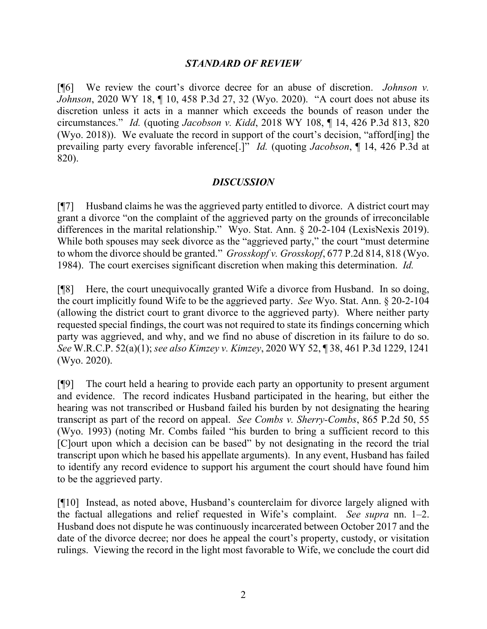### *STANDARD OF REVIEW*

[¶6] We review the court's divorce decree for an abuse of discretion. *Johnson v. Johnson*, 2020 WY 18, ¶ 10, 458 P.3d 27, 32 (Wyo. 2020). "A court does not abuse its discretion unless it acts in a manner which exceeds the bounds of reason under the circumstances." *Id.* (quoting *Jacobson v. Kidd*, 2018 WY 108, ¶ 14, 426 P.3d 813, 820 (Wyo. 2018)). We evaluate the record in support of the court's decision, "afford[ing] the prevailing party every favorable inference[.]" *Id.* (quoting *Jacobson*, ¶ 14, 426 P.3d at 820).

### *DISCUSSION*

[¶7] Husband claims he was the aggrieved party entitled to divorce. A district court may grant a divorce "on the complaint of the aggrieved party on the grounds of irreconcilable differences in the marital relationship." Wyo. Stat. Ann. § 20-2-104 (LexisNexis 2019). While both spouses may seek divorce as the "aggrieved party," the court "must determine" to whom the divorce should be granted." *Grosskopf v. Grosskopf*, 677 P.2d 814, 818 (Wyo. 1984). The court exercises significant discretion when making this determination. *Id.*

[¶8] Here, the court unequivocally granted Wife a divorce from Husband. In so doing, the court implicitly found Wife to be the aggrieved party. *See* Wyo. Stat. Ann. § 20-2-104 (allowing the district court to grant divorce to the aggrieved party). Where neither party requested special findings, the court was not required to state its findings concerning which party was aggrieved, and why, and we find no abuse of discretion in its failure to do so. *See* W.R.C.P. 52(a)(1); *see also Kimzey v. Kimzey*, 2020 WY 52, ¶ 38, 461 P.3d 1229, 1241 (Wyo. 2020).

[¶9] The court held a hearing to provide each party an opportunity to present argument and evidence. The record indicates Husband participated in the hearing, but either the hearing was not transcribed or Husband failed his burden by not designating the hearing transcript as part of the record on appeal. *See Combs v. Sherry-Combs*, 865 P.2d 50, 55 (Wyo. 1993) (noting Mr. Combs failed "his burden to bring a sufficient record to this [C]ourt upon which a decision can be based" by not designating in the record the trial transcript upon which he based his appellate arguments). In any event, Husband has failed to identify any record evidence to support his argument the court should have found him to be the aggrieved party.

[¶10] Instead, as noted above, Husband's counterclaim for divorce largely aligned with the factual allegations and relief requested in Wife's complaint. *See supra* nn. 1–2. Husband does not dispute he was continuously incarcerated between October 2017 and the date of the divorce decree; nor does he appeal the court's property, custody, or visitation rulings. Viewing the record in the light most favorable to Wife, we conclude the court did